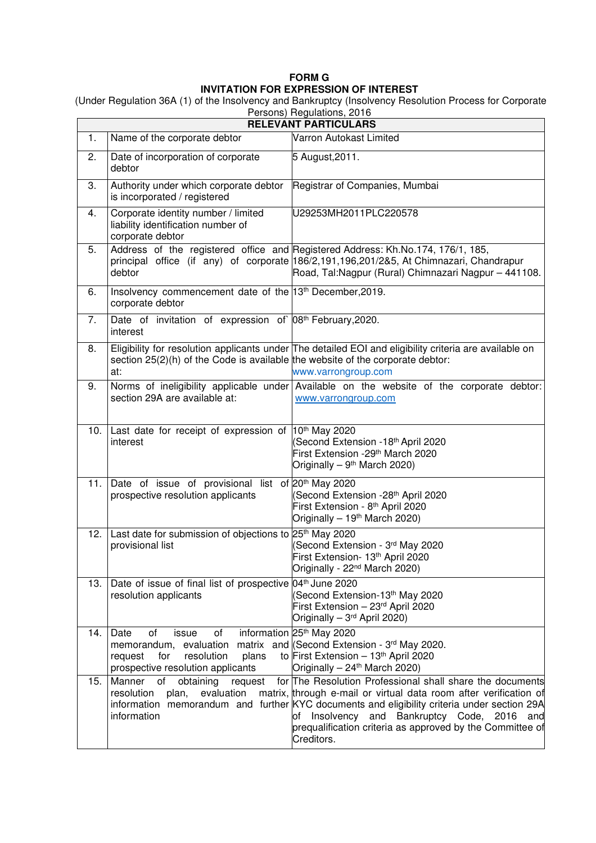## **FORM G INVITATION FOR EXPRESSION OF INTEREST**

 (Under Regulation 36A (1) of the Insolvency and Bankruptcy (Insolvency Resolution Process for Corporate Persons) Regulations, 2016

| i cisolis) ricguidiloris, zo i o<br><b>RELEVANT PARTICULARS</b> |                                                                                                                                                                                |                                                                                                                                                                                                                                                                                                                                                            |
|-----------------------------------------------------------------|--------------------------------------------------------------------------------------------------------------------------------------------------------------------------------|------------------------------------------------------------------------------------------------------------------------------------------------------------------------------------------------------------------------------------------------------------------------------------------------------------------------------------------------------------|
| 1.                                                              | Name of the corporate debtor                                                                                                                                                   | Varron Autokast Limited                                                                                                                                                                                                                                                                                                                                    |
| 2.                                                              | Date of incorporation of corporate<br>debtor                                                                                                                                   | 5 August, 2011.                                                                                                                                                                                                                                                                                                                                            |
| 3.                                                              | Authority under which corporate debtor<br>is incorporated / registered                                                                                                         | Registrar of Companies, Mumbai                                                                                                                                                                                                                                                                                                                             |
| 4.                                                              | Corporate identity number / limited<br>liability identification number of<br>corporate debtor                                                                                  | U29253MH2011PLC220578                                                                                                                                                                                                                                                                                                                                      |
| 5.                                                              | debtor                                                                                                                                                                         | Address of the registered office and Registered Address: Kh.No.174, 176/1, 185,<br>principal office (if any) of corporate 186/2,191,196,201/2&5, At Chimnazari, Chandrapur<br>Road, Tal:Nagpur (Rural) Chimnazari Nagpur - 441108.                                                                                                                         |
| 6.                                                              | Insolvency commencement date of the 13th December, 2019.<br>corporate debtor                                                                                                   |                                                                                                                                                                                                                                                                                                                                                            |
| 7.                                                              | Date of invitation of expression of 08 <sup>th</sup> February, 2020.<br>interest                                                                                               |                                                                                                                                                                                                                                                                                                                                                            |
| 8.                                                              | section $25(2)(h)$ of the Code is available the website of the corporate debtor:<br>at:                                                                                        | Eligibility for resolution applicants under The detailed EOI and eligibility criteria are available on<br>www.varrongroup.com                                                                                                                                                                                                                              |
| 9.                                                              | section 29A are available at:                                                                                                                                                  | Norms of ineligibility applicable under Available on the website of the corporate debtor:<br>www.varrongroup.com                                                                                                                                                                                                                                           |
| 10.                                                             | Last date for receipt of expression of 10 <sup>th</sup> May 2020<br>interest                                                                                                   | (Second Extension -18 <sup>th</sup> April 2020<br>First Extension -29 <sup>th</sup> March 2020<br>Originally - 9 <sup>th</sup> March 2020)                                                                                                                                                                                                                 |
| 11.                                                             | Date of issue of provisional list of 20 <sup>th</sup> May 2020<br>prospective resolution applicants                                                                            | (Second Extension -28 <sup>th</sup> April 2020<br>First Extension - 8 <sup>th</sup> April 2020<br>Originally - 19 <sup>th</sup> March 2020)                                                                                                                                                                                                                |
| 12.                                                             | Last date for submission of objections to 25 <sup>th</sup> May 2020<br>provisional list                                                                                        | Second Extension - 3rd May 2020<br>First Extension- 13th April 2020<br>Originally - 22 <sup>nd</sup> March 2020)                                                                                                                                                                                                                                           |
| 13.                                                             | Date of issue of final list of prospective 04 <sup>th</sup> June 2020<br>resolution applicants                                                                                 | Second Extension-13 <sup>th</sup> May 2020<br>First Extension - 23rd April 2020<br>Originally - 3 <sup>rd</sup> April 2020)                                                                                                                                                                                                                                |
| 14.                                                             | Date<br>of<br>issue<br>of<br>memorandum, evaluation matrix and (Second Extension - 3rd May 2020.<br>plans<br>for<br>resolution<br>request<br>prospective resolution applicants | information 25 <sup>th</sup> May 2020<br>to First Extension - 13th April 2020<br>Originally - 24 <sup>th</sup> March 2020)                                                                                                                                                                                                                                 |
| 15.                                                             | Manner<br>of<br>obtaining<br>request<br>resolution<br>plan,<br>evaluation<br>information                                                                                       | for The Resolution Professional shall share the documents<br>matrix, through e-mail or virtual data room after verification of<br>information memorandum and further KYC documents and eligibility criteria under section 29A<br>of Insolvency and Bankruptcy Code, 2016<br>and<br>prequalification criteria as approved by the Committee of<br>Creditors. |